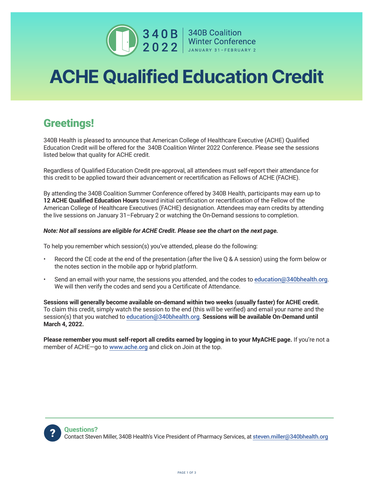

 $\begin{array}{|c|c|c|}\n\hline\n\textbf{3 4 0 B} & \textbf{340B Condition} & \textbf{Winter Conference} \\\n\hline\n\textbf{2 0 2 2} & \textbf{MUNARY 31-FEBRUARY 2}\n\hline\n\end{array}$ 

## ACHE Qualified Education Credit

## Greetings!

340B Health is pleased to announce that American College of Healthcare Executive (ACHE) Qualified Education Credit will be offered for the 340B Coalition Winter 2022 Conference. Please see the sessions listed below that quality for ACHE credit.

Regardless of Qualified Education Credit pre-approval, all attendees must self-report their attendance for this credit to be applied toward their advancement or recertification as Fellows of ACHE (FACHE).

By attending the 340B Coalition Summer Conference offered by 340B Health, participants may earn up to **12 ACHE Qualified Education Hours** toward initial certification or recertification of the Fellow of the American College of Healthcare Executives (FACHE) designation. Attendees may earn credits by attending the live sessions on January 31–February 2 or watching the On-Demand sessions to completion.

## *Note: Not all sessions are eligible for ACHE Credit. Please see the chart on the next page.*

To help you remember which session(s) you've attended, please do the following:

- Record the CE code at the end of the presentation (after the live Q & A session) using the form below or the notes section in the mobile app or hybrid platform.
- Send an email with your name, the sessions you attended, and the codes to education@340bhealth.org. We will then verify the codes and send you a Certificate of Attendance.

**Sessions will generally become available on-demand within two weeks (usually faster) for ACHE credit.** To claim this credit, simply watch the session to the end (this will be verified) and email your name and the session(s) that you watched to education@340bhealth.org. **Sessions will be available On-Demand until March 4, 2022.**

**Please remember you must self-report all credits earned by logging in to your MyACHE page.** If you're not a member of ACHE-go to www.ache.org and click on Join at the top.

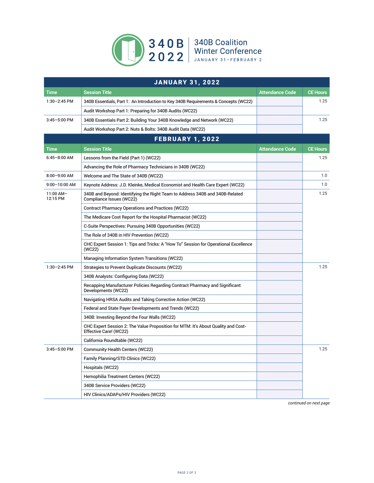

| <b>JANUARY 31, 2022</b> |                                                                                                             |                        |                 |  |  |
|-------------------------|-------------------------------------------------------------------------------------------------------------|------------------------|-----------------|--|--|
| Time                    | <b>Session Title</b>                                                                                        | <b>Attendance Code</b> | <b>CE Hours</b> |  |  |
| 1:30-2:45 PM            | 340B Essentials, Part 1: An Introduction to Key 340B Requirements & Concepts (WC22)                         |                        | 1.25            |  |  |
|                         | Audit Workshop Part 1: Preparing for 340B Audits (WC22)                                                     |                        |                 |  |  |
| 3:45-5:00 PM            | 340B Essentials Part 2: Building Your 340B Knowledge and Network (WC22)                                     |                        | 1.25            |  |  |
|                         | Audit Workshop Part 2: Nuts & Bolts: 340B Audit Data (WC22)                                                 |                        |                 |  |  |
|                         | <b>FEBRUARY 1, 2022</b>                                                                                     |                        |                 |  |  |
| Time                    | <b>Session Title</b>                                                                                        | <b>Attendance Code</b> | <b>CE Hours</b> |  |  |
| $6:45 - 8:00$ AM        | Lessons from the Field (Part 1) (WC22)                                                                      |                        | 1.25            |  |  |
|                         | Advancing the Role of Pharmacy Technicians in 340B (WC22)                                                   |                        |                 |  |  |
| 8:00-9:00 AM            | Welcome and The State of 340B (WC22)                                                                        |                        | 1.0             |  |  |
| 9:00-10:00 AM           | Keynote Address: J.D. Kleinke, Medical Economist and Health Care Expert (WC22)                              |                        | 1.0             |  |  |
| 11:00 AM-<br>12:15 PM   | 340B and Beyond: Identifying the Right Team to Address 340B and 340B-Related<br>Compliance Issues (WC22)    |                        | 1.25            |  |  |
|                         | <b>Contract Pharmacy Operations and Practices (WC22)</b>                                                    |                        |                 |  |  |
|                         | The Medicare Cost Report for the Hospital Pharmacist (WC22)                                                 |                        |                 |  |  |
|                         | C-Suite Perspectives: Pursuing 340B Opportunities (WC22)                                                    |                        |                 |  |  |
|                         | The Role of 340B in HIV Prevention (WC22)                                                                   |                        |                 |  |  |
|                         | CHC Expert Session 1: Tips and Tricks: A "How To" Session for Operational Excellence<br>(WC22)              |                        |                 |  |  |
|                         | Managing Information System Transitions (WC22)                                                              |                        |                 |  |  |
| 1:30-2:45 PM            | <b>Strategies to Prevent Duplicate Discounts (WC22)</b>                                                     |                        | 1.25            |  |  |
|                         | 340B Analysts: Configuring Data (WC22)                                                                      |                        |                 |  |  |
|                         | Recapping Manufacturer Policies Regarding Contract Pharmacy and Significant<br>Developments (WC22)          |                        |                 |  |  |
|                         | Navigating HRSA Audits and Taking Corrective Action (WC22)                                                  |                        |                 |  |  |
|                         | Federal and State Payer Developments and Trends (WC22)                                                      |                        |                 |  |  |
|                         | 340B: Investing Beyond the Four Walls (WC22)                                                                |                        |                 |  |  |
|                         | CHC Expert Session 2: The Value Proposition for MTM: It's About Quality and Cost-<br>Effective Care! (WC22) |                        |                 |  |  |
|                         | California Roundtable (WC22)                                                                                |                        |                 |  |  |
| 3:45-5:00 PM            | <b>Community Health Centers (WC22)</b>                                                                      |                        | 1.25            |  |  |
|                         | Family Planning/STD Clinics (WC22)                                                                          |                        |                 |  |  |
|                         | Hospitals (WC22)                                                                                            |                        |                 |  |  |
|                         | Hemophilia Treatment Centers (WC22)                                                                         |                        |                 |  |  |
|                         | 340B Service Providers (WC22)                                                                               |                        |                 |  |  |
|                         | HIV Clinics/ADAPs/HIV Providers (WC22)                                                                      |                        |                 |  |  |

*continued on next page*